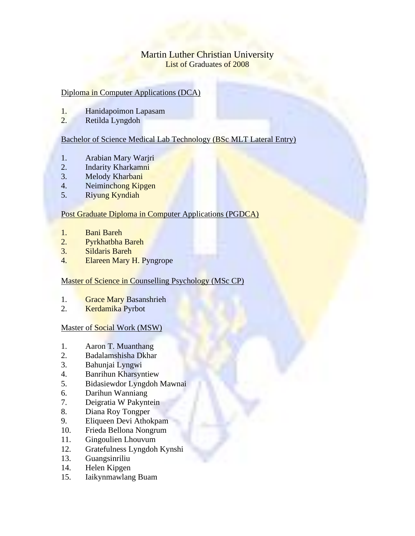# Martin Luther Christian University List of Graduates of 2008

## Diploma in Computer Applications (DCA)

- 1. Hanidapoimon Lapasam
- 2. Retilda Lyngdoh

### Bachelor of Science Medical Lab Technology (BSc MLT Lateral Entry)

- 1. Arabian Mary Warjri
- 2. Indarity Kharkamni
- 3. Melody Kharbani
- 4. Neiminchong Kipgen
- 5. Riyung Kyndiah

### Post Graduate Diploma in Computer Applications (PGDCA)

- 1. Bani Bareh
- 2. Pyrkhatbha Bareh
- 3. Sildaris Bareh
- 4. Elareen Mary H. Pyngrope

### Master of Science in Counselling Psychology (MSc CP)

- 1. Grace Mary Basanshrieh
- 2. Kerdamika Pyrbot

#### Master of Social Work (MSW)

- 1. Aaron T. Muanthang
- 2. Badalamshisha Dkhar
- 3. Bahunjai Lyngwi
- 4. Banrihun Kharsyntiew
- 5. Bidasiewdor Lyngdoh Mawnai
- 6. Darihun Wanniang
- 7. Deigratia W Pakyntein
- 8. Diana Roy Tongper
- 9. Eliqueen Devi Athokpam
- 10. Frieda Bellona Nongrum
- 11. Gingoulien Lhouvum
- 12. Gratefulness Lyngdoh Kynshi
- 13. Guangsinriliu
- 14. Helen Kipgen
- 15. Iaikynmawlang Buam